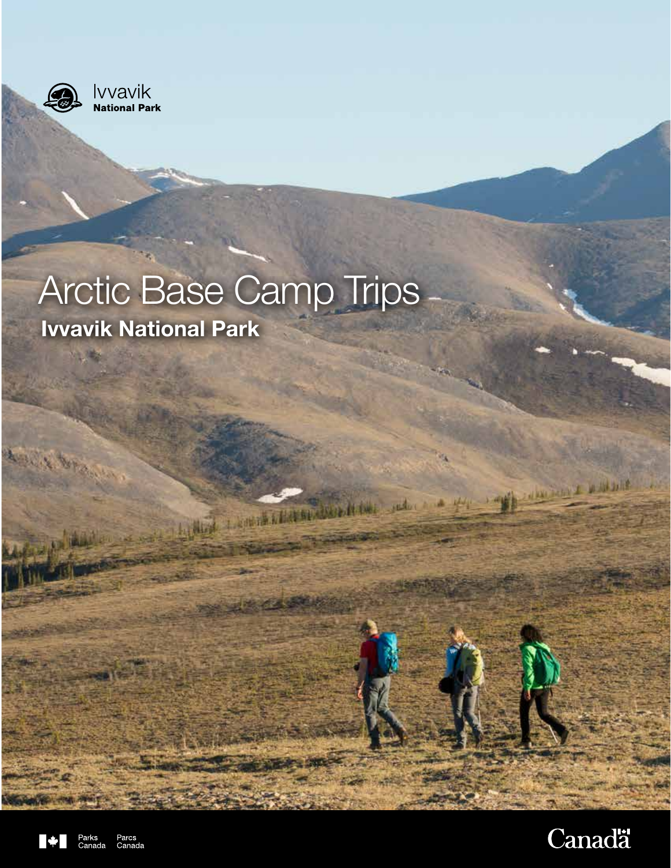

**I**VVavik<br>National Park

# Arctic Base Camp Trips **Ivvavik National Park**

The same of the second contract of the same





Alithing a probability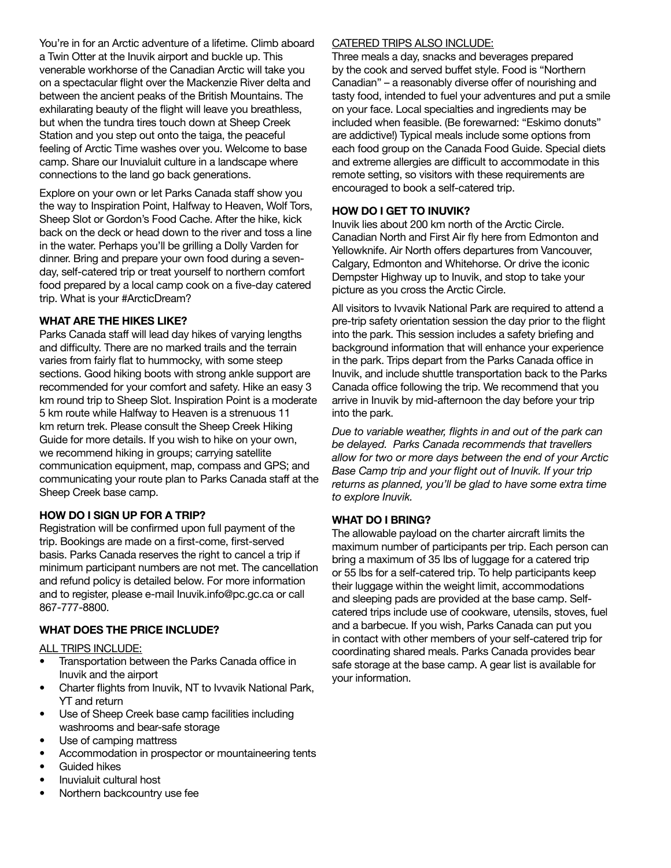You're in for an Arctic adventure of a lifetime. Climb aboard a Twin Otter at the Inuvik airport and buckle up. This venerable workhorse of the Canadian Arctic will take you on a spectacular flight over the Mackenzie River delta and between the ancient peaks of the British Mountains. The exhilarating beauty of the flight will leave you breathless, but when the tundra tires touch down at Sheep Creek Station and you step out onto the taiga, the peaceful feeling of Arctic Time washes over you. Welcome to base camp. Share our Inuvialuit culture in a landscape where connections to the land go back generations.

Explore on your own or let Parks Canada staff show you the way to Inspiration Point, Halfway to Heaven, Wolf Tors, Sheep Slot or Gordon's Food Cache. After the hike, kick back on the deck or head down to the river and toss a line in the water. Perhaps you'll be grilling a Dolly Varden for dinner. Bring and prepare your own food during a sevenday, self-catered trip or treat yourself to northern comfort food prepared by a local camp cook on a five-day catered trip. What is your #ArcticDream?

# **WHAT ARE THE HIKES LIKE?**

Parks Canada staff will lead day hikes of varying lengths and difficulty. There are no marked trails and the terrain varies from fairly flat to hummocky, with some steep sections. Good hiking boots with strong ankle support are recommended for your comfort and safety. Hike an easy 3 km round trip to Sheep Slot. Inspiration Point is a moderate 5 km route while Halfway to Heaven is a strenuous 11 km return trek. Please consult the Sheep Creek Hiking Guide for more details. If you wish to hike on your own, we recommend hiking in groups; carrying satellite communication equipment, map, compass and GPS; and communicating your route plan to Parks Canada staff at the Sheep Creek base camp.

# **HOW DO I SIGN UP FOR A TRIP?**

Registration will be confirmed upon full payment of the trip. Bookings are made on a first-come, first-served basis. Parks Canada reserves the right to cancel a trip if minimum participant numbers are not met. The cancellation and refund policy is detailed below. For more information and to register, please e-mail Inuvik.info@pc.gc.ca or call 867-777-8800.

# **WHAT DOES THE PRICE INCLUDE?**

ALL TRIPS INCLUDE:

- Transportation between the Parks Canada office in Inuvik and the airport
- Charter flights from Inuvik, NT to Ivvavik National Park, YT and return
- Use of Sheep Creek base camp facilities including washrooms and bear-safe storage
- Use of camping mattress
- Accommodation in prospector or mountaineering tents
- Guided hikes
- Inuvialuit cultural host
- Northern backcountry use fee

# CATERED TRIPS ALSO INCLUDE:

Three meals a day, snacks and beverages prepared by the cook and served buffet style. Food is "Northern Canadian" – a reasonably diverse offer of nourishing and tasty food, intended to fuel your adventures and put a smile on your face. Local specialties and ingredients may be included when feasible. (Be forewarned: "Eskimo donuts" are addictive!) Typical meals include some options from each food group on the Canada Food Guide. Special diets and extreme allergies are difficult to accommodate in this remote setting, so visitors with these requirements are encouraged to book a self-catered trip.

# **HOW DO I GET TO INUVIK?**

Inuvik lies about 200 km north of the Arctic Circle. Canadian North and First Air fly here from Edmonton and Yellowknife. Air North offers departures from Vancouver, Calgary, Edmonton and Whitehorse. Or drive the iconic Dempster Highway up to Inuvik, and stop to take your picture as you cross the Arctic Circle.

All visitors to Ivvavik National Park are required to attend a pre-trip safety orientation session the day prior to the flight into the park. This session includes a safety briefing and background information that will enhance your experience in the park. Trips depart from the Parks Canada office in Inuvik, and include shuttle transportation back to the Parks Canada office following the trip. We recommend that you arrive in Inuvik by mid-afternoon the day before your trip into the park.

*Due to variable weather, flights in and out of the park can be delayed. Parks Canada recommends that travellers allow for two or more days between the end of your Arctic Base Camp trip and your flight out of Inuvik. If your trip returns as planned, you'll be glad to have some extra time to explore Inuvik.*

## **WHAT DO I BRING?**

The allowable payload on the charter aircraft limits the maximum number of participants per trip. Each person can bring a maximum of 35 lbs of luggage for a catered trip or 55 lbs for a self-catered trip. To help participants keep their luggage within the weight limit, accommodations and sleeping pads are provided at the base camp. Selfcatered trips include use of cookware, utensils, stoves, fuel and a barbecue. If you wish, Parks Canada can put you in contact with other members of your self-catered trip for coordinating shared meals. Parks Canada provides bear safe storage at the base camp. A gear list is available for your information.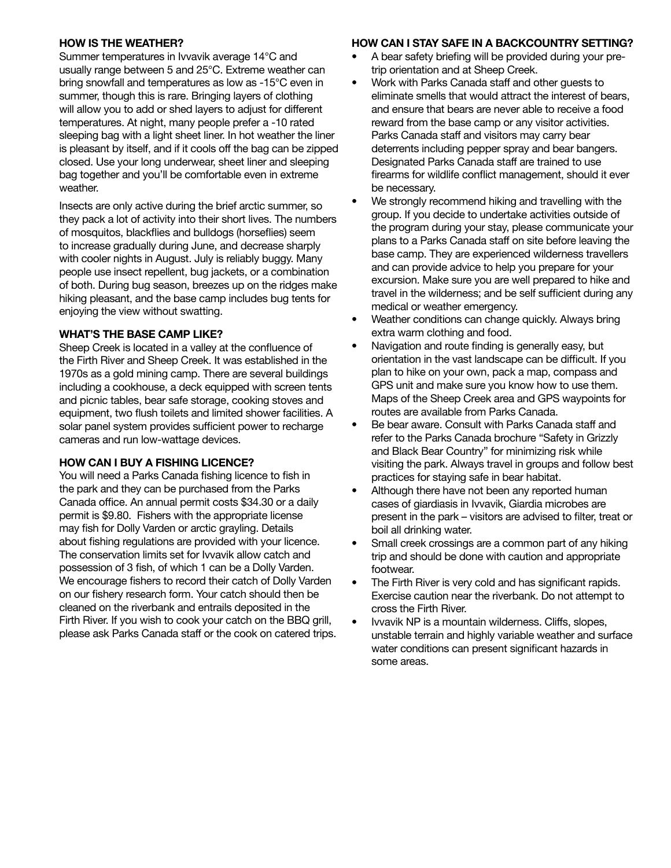# **HOW IS THE WEATHER?**

Summer temperatures in Ivvavik average 14°C and usually range between 5 and 25°C. Extreme weather can bring snowfall and temperatures as low as -15°C even in summer, though this is rare. Bringing layers of clothing will allow you to add or shed layers to adjust for different temperatures. At night, many people prefer a -10 rated sleeping bag with a light sheet liner. In hot weather the liner is pleasant by itself, and if it cools off the bag can be zipped closed. Use your long underwear, sheet liner and sleeping bag together and you'll be comfortable even in extreme weather.

Insects are only active during the brief arctic summer, so they pack a lot of activity into their short lives. The numbers of mosquitos, blackflies and bulldogs (horseflies) seem to increase gradually during June, and decrease sharply with cooler nights in August. July is reliably buggy. Many people use insect repellent, bug jackets, or a combination of both. During bug season, breezes up on the ridges make hiking pleasant, and the base camp includes bug tents for enjoying the view without swatting.

# **WHAT'S THE BASE CAMP LIKE?**

Sheep Creek is located in a valley at the confluence of the Firth River and Sheep Creek. It was established in the 1970s as a gold mining camp. There are several buildings including a cookhouse, a deck equipped with screen tents and picnic tables, bear safe storage, cooking stoves and equipment, two flush toilets and limited shower facilities. A solar panel system provides sufficient power to recharge cameras and run low-wattage devices.

## **HOW CAN I BUY A FISHING LICENCE?**

You will need a Parks Canada fishing licence to fish in the park and they can be purchased from the Parks Canada office. An annual permit costs \$34.30 or a daily permit is \$9.80. Fishers with the appropriate license may fish for Dolly Varden or arctic grayling. Details about fishing regulations are provided with your licence. The conservation limits set for Ivvavik allow catch and possession of 3 fish, of which 1 can be a Dolly Varden. We encourage fishers to record their catch of Dolly Varden on our fishery research form. Your catch should then be cleaned on the riverbank and entrails deposited in the Firth River. If you wish to cook your catch on the BBQ grill, please ask Parks Canada staff or the cook on catered trips.

# **HOW CAN I STAY SAFE IN A BACKCOUNTRY SETTING?**

- A bear safety briefing will be provided during your pretrip orientation and at Sheep Creek.
- Work with Parks Canada staff and other guests to eliminate smells that would attract the interest of bears, and ensure that bears are never able to receive a food reward from the base camp or any visitor activities. Parks Canada staff and visitors may carry bear deterrents including pepper spray and bear bangers. Designated Parks Canada staff are trained to use firearms for wildlife conflict management, should it ever be necessary.
- We strongly recommend hiking and travelling with the group. If you decide to undertake activities outside of the program during your stay, please communicate your plans to a Parks Canada staff on site before leaving the base camp. They are experienced wilderness travellers and can provide advice to help you prepare for your excursion. Make sure you are well prepared to hike and travel in the wilderness; and be self sufficient during any medical or weather emergency.
- Weather conditions can change quickly. Always bring extra warm clothing and food.
- Navigation and route finding is generally easy, but orientation in the vast landscape can be difficult. If you plan to hike on your own, pack a map, compass and GPS unit and make sure you know how to use them. Maps of the Sheep Creek area and GPS waypoints for routes are available from Parks Canada.
- Be bear aware. Consult with Parks Canada staff and refer to the Parks Canada brochure "Safety in Grizzly and Black Bear Country" for minimizing risk while visiting the park. Always travel in groups and follow best practices for staying safe in bear habitat.
- Although there have not been any reported human cases of giardiasis in Ivvavik, Giardia microbes are present in the park – visitors are advised to filter, treat or boil all drinking water.
- Small creek crossings are a common part of any hiking trip and should be done with caution and appropriate footwear.
- The Firth River is very cold and has significant rapids. Exercise caution near the riverbank. Do not attempt to cross the Firth River.
- Ivvavik NP is a mountain wilderness. Cliffs, slopes, unstable terrain and highly variable weather and surface water conditions can present significant hazards in some areas.